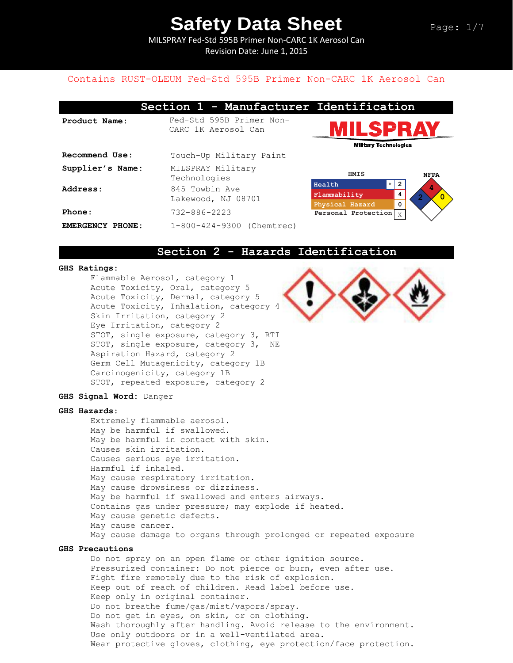MILSPRAY Fed-Std 595B Primer Non-CARC 1K Aerosol Can Revision Date: June 1, 2015

### Contains RUST-OLEUM Fed-Std 595B Primer Non-CARC 1K Aerosol Can

|                  | Section 1 - Manufacturer Identification         |                                        |             |  |
|------------------|-------------------------------------------------|----------------------------------------|-------------|--|
| Product Name:    | Fed-Std 595B Primer Non-<br>CARC 1K Aerosol Can | IILSPR<br><b>Military Technologies</b> |             |  |
| Recommend Use:   | Touch-Up Military Paint                         |                                        |             |  |
| Supplier's Name: | MILSPRAY Military<br>Technologies               | HMIS                                   |             |  |
| Address:         | 845 Towbin Ave                                  | $\star$<br>Health                      | 2           |  |
|                  | Lakewood, NJ 08701                              | Flammability                           | 4           |  |
|                  |                                                 | Physical Hazard                        | 0           |  |
| Phone:           | $732 - 886 - 2223$                              | Personal Protection                    | $\mathbf X$ |  |
| EMERGENCY PHONE: | 1-800-424-9300 (Chemtrec)                       |                                        |             |  |



**Personal Protection NFPA 4 2 0 Health**  $\vert x \vert$  **2 Flammability 4 Physical Hazard 0**  $\mathbf{x}$ 

### **Section 2 - Hazards Identification**

### **GHS Ratings:**

Flammable Aerosol, category 1 Acute Toxicity, Oral, category 5 Acute Toxicity, Dermal, category 5 Acute Toxicity, Inhalation, category 4 Skin Irritation, category 2 Eye Irritation, category 2 STOT, single exposure, category 3, RTI STOT, single exposure, category 3, NE Aspiration Hazard, category 2 Germ Cell Mutagenicity, category 1B Carcinogenicity, category 1B STOT, repeated exposure, category 2



**GHS Signal Word:** Danger

#### **GHS Hazards:**

Extremely flammable aerosol. May be harmful if swallowed. May be harmful in contact with skin. Causes skin irritation. Causes serious eye irritation. Harmful if inhaled. May cause respiratory irritation. May cause drowsiness or dizziness. May be harmful if swallowed and enters airways. Contains gas under pressure; may explode if heated. May cause genetic defects. May cause cancer. May cause damage to organs through prolonged or repeated exposure

#### **GHS Precautions**

Do not spray on an open flame or other ignition source. Pressurized container: Do not pierce or burn, even after use. Fight fire remotely due to the risk of explosion. Keep out of reach of children. Read label before use. Keep only in original container. Do not breathe fume/gas/mist/vapors/spray. Do not get in eyes, on skin, or on clothing. Wash thoroughly after handling. Avoid release to the environment. Use only outdoors or in a well-ventilated area. Wear protective gloves, clothing, eye protection/face protection.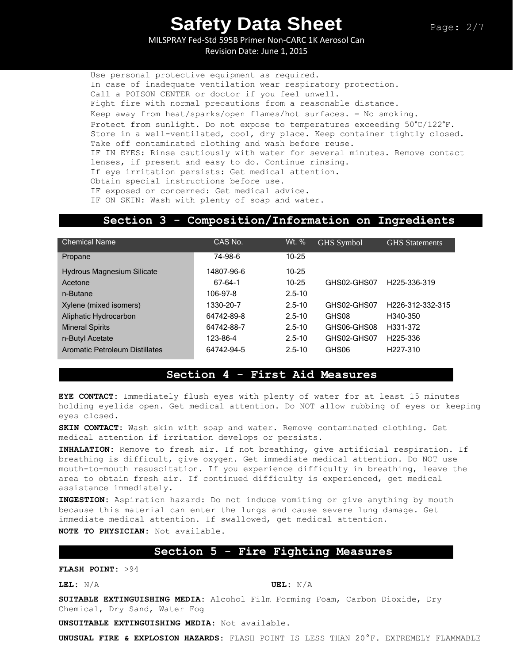MILSPRAY Fed-Std 595B Primer Non-CARC 1K Aerosol Can Revision Date: June 1, 2015

Use personal protective equipment as required. In case of inadequate ventilation wear respiratory protection. Call a POISON CENTER or doctor if you feel unwell. Fight fire with normal precautions from a reasonable distance. Keep away from heat/sparks/open flames/hot surfaces. – No smoking. Protect from sunlight. Do not expose to temperatures exceeding 50°C/122°F. Store in a well-ventilated, cool, dry place. Keep container tightly closed. Take off contaminated clothing and wash before reuse. IF IN EYES: Rinse cautiously with water for several minutes. Remove contact lenses, if present and easy to do. Continue rinsing. If eye irritation persists: Get medical attention. Obtain special instructions before use. IF exposed or concerned: Get medical advice. IF ON SKIN: Wash with plenty of soap and water.

### **Section 3 - Composition/Information on Ingredients**

| <b>Chemical Name</b>                  | CAS No.    | Wt. %      | GHS Symbol  | <b>GHS</b> Statements         |
|---------------------------------------|------------|------------|-------------|-------------------------------|
| Propane                               | 74-98-6    | $10 - 25$  |             |                               |
| <b>Hydrous Magnesium Silicate</b>     | 14807-96-6 | $10 - 25$  |             |                               |
| Acetone                               | 67-64-1    | $10 - 25$  | GHS02-GHS07 | H <sub>225</sub> -336-319     |
| n-Butane                              | 106-97-8   | $2.5 - 10$ |             |                               |
| Xylene (mixed isomers)                | 1330-20-7  | $2.5 - 10$ | GHS02-GHS07 | H <sub>226</sub> -312-332-315 |
| Aliphatic Hydrocarbon                 | 64742-89-8 | $2.5 - 10$ | GHS08       | H340-350                      |
| <b>Mineral Spirits</b>                | 64742-88-7 | $2.5 - 10$ | GHS06-GHS08 | H331-372                      |
| n-Butyl Acetate                       | 123-86-4   | $2.5 - 10$ | GHS02-GHS07 | H <sub>225-336</sub>          |
| <b>Aromatic Petroleum Distillates</b> | 64742-94-5 | $2.5 - 10$ | GHS06       | H <sub>227</sub> -310         |

# **Section 4 - First Aid Measures**

**EYE CONTACT:** Immediately flush eyes with plenty of water for at least 15 minutes holding eyelids open. Get medical attention. Do NOT allow rubbing of eyes or keeping eyes closed.

**SKIN CONTACT:** Wash skin with soap and water. Remove contaminated clothing. Get medical attention if irritation develops or persists.

**INHALATION:** Remove to fresh air. If not breathing, give artificial respiration. If breathing is difficult, give oxygen. Get immediate medical attention. Do NOT use mouth-to-mouth resuscitation. If you experience difficulty in breathing, leave the area to obtain fresh air. If continued difficulty is experienced, get medical assistance immediately.

**INGESTION:** Aspiration hazard: Do not induce vomiting or give anything by mouth because this material can enter the lungs and cause severe lung damage. Get immediate medical attention. If swallowed, get medical attention. **NOTE TO PHYSICIAN:** Not available.

## **Section 5 - Fire Fighting Measures**

**FLASH POINT:** >94

**LEL:** N/A **UEL:** N/A

**SUITABLE EXTINGUISHING MEDIA:** Alcohol Film Forming Foam, Carbon Dioxide, Dry Chemical, Dry Sand, Water Fog

**UNSUITABLE EXTINGUISHING MEDIA:** Not available.

**UNUSUAL FIRE & EXPLOSION HAZARDS:** FLASH POINT IS LESS THAN 20°F. EXTREMELY FLAMMABLE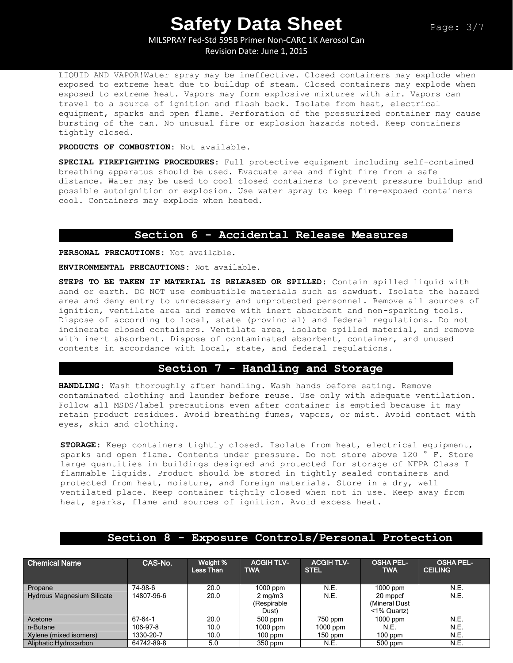MILSPRAY Fed-Std 595B Primer Non-CARC 1K Aerosol Can Revision Date: June 1, 2015

LIQUID AND VAPOR!Water spray may be ineffective. Closed containers may explode when exposed to extreme heat due to buildup of steam. Closed containers may explode when exposed to extreme heat. Vapors may form explosive mixtures with air. Vapors can travel to a source of ignition and flash back. Isolate from heat, electrical equipment, sparks and open flame. Perforation of the pressurized container may cause bursting of the can. No unusual fire or explosion hazards noted. Keep containers tightly closed.

**PRODUCTS OF COMBUSTION:** Not available.

**SPECIAL FIREFIGHTING PROCEDURES:** Full protective equipment including self-contained breathing apparatus should be used. Evacuate area and fight fire from a safe distance. Water may be used to cool closed containers to prevent pressure buildup and possible autoignition or explosion. Use water spray to keep fire-exposed containers cool. Containers may explode when heated.

## **Section 6 - Accidental Release Measures**

**PERSONAL PRECAUTIONS:** Not available.

**ENVIRONMENTAL PRECAUTIONS:** Not available.

**STEPS TO BE TAKEN IF MATERIAL IS RELEASED OR SPILLED:** Contain spilled liquid with sand or earth. DO NOT use combustible materials such as sawdust. Isolate the hazard area and deny entry to unnecessary and unprotected personnel. Remove all sources of ignition, ventilate area and remove with inert absorbent and non-sparking tools. Dispose of according to local, state (provincial) and federal regulations. Do not incinerate closed containers. Ventilate area, isolate spilled material, and remove with inert absorbent. Dispose of contaminated absorbent, container, and unused contents in accordance with local, state, and federal regulations.

# **Section 7 - Handling and Storage**

**HANDLING**: Wash thoroughly after handling. Wash hands before eating. Remove contaminated clothing and launder before reuse. Use only with adequate ventilation. Follow all MSDS/label precautions even after container is emptied because it may retain product residues. Avoid breathing fumes, vapors, or mist. Avoid contact with eyes, skin and clothing.

**STORAGE:** Keep containers tightly closed. Isolate from heat, electrical equipment, sparks and open flame. Contents under pressure. Do not store above 120 ° F. Store large quantities in buildings designed and protected for storage of NFPA Class I flammable liquids. Product should be stored in tightly sealed containers and protected from heat, moisture, and foreign materials. Store in a dry, well ventilated place. Keep container tightly closed when not in use. Keep away from heat, sparks, flame and sources of ignition. Avoid excess heat.

## **Section 8 - Exposure Controls/Personal Protection**

| <b>Chemical Name</b>              | CAS-No.    | Weight %<br>Less Than | <b>ACGIH TLV-</b><br><b>TWA</b>          | <b>ACGIH TLV-</b><br><b>STEL</b> | <b>OSHA PEL-</b><br><b>TWA</b>           | <b>OSHA PEL-</b><br><b>CEILING</b> |
|-----------------------------------|------------|-----------------------|------------------------------------------|----------------------------------|------------------------------------------|------------------------------------|
| Propane                           | 74-98-6    | 20.0                  | $1000$ ppm                               | N.E.                             | $1000$ ppm                               | N.E.                               |
| <b>Hydrous Magnesium Silicate</b> | 14807-96-6 | 20.0                  | $2 \text{ mg/m}$<br>(Respirable<br>Dust) | N.E.                             | 20 mppcf<br>(Mineral Dust<br><1% Quartz) | N.E.                               |
| Acetone                           | 67-64-1    | 20.0                  | $500$ ppm                                | 750 ppm                          | $1000$ ppm                               | N.E.                               |
| n-Butane                          | 106-97-8   | 10.0                  | $1000$ ppm                               | $1000$ ppm                       | N.E.                                     | N.E.                               |
| Xylene (mixed isomers)            | 1330-20-7  | 10.0                  | $100$ ppm                                | $150$ ppm                        | $100$ ppm                                | N.E.                               |
| Aliphatic Hydrocarbon             | 64742-89-8 | 5.0                   | $350$ ppm                                | N.E.                             | 500 ppm                                  | N.E.                               |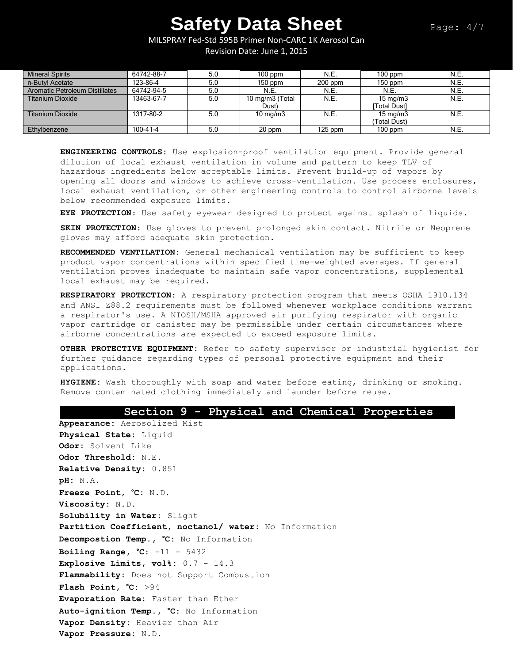MILSPRAY Fed-Std 595B Primer Non-CARC 1K Aerosol Can Revision Date: June 1, 2015

| <b>Mineral Spirits</b>                | 64742-88-7 | 5.0 | $100$ ppm         | N.E.      | $100$ ppm           | N.E. |
|---------------------------------------|------------|-----|-------------------|-----------|---------------------|------|
| n-Butvl Acetate                       | 123-86-4   | 5.0 | $150$ ppm         | $200$ ppm | $150$ ppm           | N.E. |
| <b>Aromatic Petroleum Distillates</b> | 64742-94-5 | 5.0 | <b>N.E.</b>       | N.E.      | <b>N.E.</b>         | N.E. |
| <b>Titanium Dioxide</b>               | 13463-67-7 | 5.0 | 10 mg/m3 (Total   | N.E.      | $15 \text{ mg/m}$   | N.E. |
|                                       |            |     | Dust)             |           | <b>ITotal Dust1</b> |      |
| <b>Titanium Dioxide</b>               | 1317-80-2  | 5.0 | $10 \text{ mg/m}$ | N.E.      | $15 \text{ ma/m}$ 3 | N.E. |
|                                       |            |     |                   |           | (Total Dust)        |      |
| Ethylbenzene                          | 100-41-4   | 5.0 | 20 ppm            | $125$ ppm | $100$ ppm           | N.E. |

**ENGINEERING CONTROLS:** Use explosion-proof ventilation equipment. Provide general dilution of local exhaust ventilation in volume and pattern to keep TLV of hazardous ingredients below acceptable limits. Prevent build-up of vapors by opening all doors and windows to achieve cross-ventilation. Use process enclosures, local exhaust ventilation, or other engineering controls to control airborne levels below recommended exposure limits.

**EYE PROTECTION**: Use safety eyewear designed to protect against splash of liquids.

**SKIN PROTECTION:** Use gloves to prevent prolonged skin contact. Nitrile or Neoprene gloves may afford adequate skin protection.

**RECOMMENDED VENTILATION:** General mechanical ventilation may be sufficient to keep product vapor concentrations within specified time-weighted averages. If general ventilation proves inadequate to maintain safe vapor concentrations, supplemental local exhaust may be required.

**RESPIRATORY PROTECTION**: A respiratory protection program that meets OSHA 1910.134 and ANSI Z88.2 requirements must be followed whenever workplace conditions warrant a respirator's use. A NIOSH/MSHA approved air purifying respirator with organic vapor cartridge or canister may be permissible under certain circumstances where airborne concentrations are expected to exceed exposure limits.

**OTHER PROTECTIVE EQUIPMENT:** Refer to safety supervisor or industrial hygienist for further guidance regarding types of personal protective equipment and their applications.

**HYGIENE:** Wash thoroughly with soap and water before eating, drinking or smoking. Remove contaminated clothing immediately and launder before reuse.

#### **Section 9 - Physical and Chemical Properties**

**Appearance:** Aerosolized Mist **Physical State:** Liquid **Odor:** Solvent Like **Odor Threshold:** N.E. **Relative Density:** 0.851 **pH:** N.A. **Freeze Point, °C:** N.D. **Viscosity:** N.D. **Solubility in Water:** Slight **Partition Coefficient, noctanol/ water:** No Information **Decompostion Temp., °C:** No Information **Boiling Range, °C:** -11 - 5432 **Explosive Limits, vol%:** 0.7 - 14.3 **Flammability:** Does not Support Combustion **Flash Point, °C:** >94 **Evaporation Rate:** Faster than Ether **Auto-ignition Temp., °C:** No Information **Vapor Density:** Heavier than Air **Vapor Pressure:** N.D.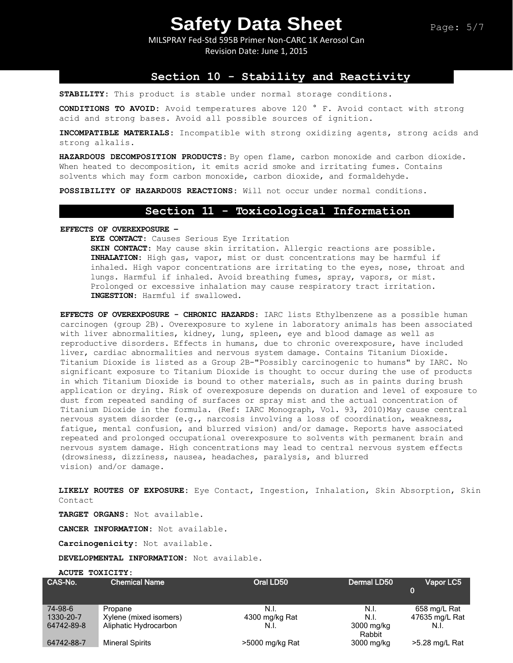MILSPRAY Fed-Std 595B Primer Non-CARC 1K Aerosol Can Revision Date: June 1, 2015

## **Section 10 - Stability and Reactivity**

**STABILITY:** This product is stable under normal storage conditions.

**CONDITIONS TO AVOID:** Avoid temperatures above 120 ° F. Avoid contact with strong acid and strong bases. Avoid all possible sources of ignition.

**INCOMPATIBLE MATERIALS:** Incompatible with strong oxidizing agents, strong acids and strong alkalis.

**HAZARDOUS DECOMPOSITION PRODUCTS:** By open flame, carbon monoxide and carbon dioxide. When heated to decomposition, it emits acrid smoke and irritating fumes. Contains solvents which may form carbon monoxide, carbon dioxide, and formaldehyde.

**POSSIBILITY OF HAZARDOUS REACTIONS:** Will not occur under normal conditions.

### **Section 11 - Toxicological Information**

**EFFECTS OF OVEREXPOSURE –**

**EYE CONTACT**: Causes Serious Eye Irritation

**SKIN CONTACT**: May cause skin irritation. Allergic reactions are possible. **INHALATION**: High gas, vapor, mist or dust concentrations may be harmful if inhaled. High vapor concentrations are irritating to the eyes, nose, throat and lungs. Harmful if inhaled. Avoid breathing fumes, spray, vapors, or mist. Prolonged or excessive inhalation may cause respiratory tract irritation. **INGESTION**: Harmful if swallowed.

**EFFECTS OF OVEREXPOSURE - CHRONIC HAZARDS**: IARC lists Ethylbenzene as a possible human carcinogen (group 2B). Overexposure to xylene in laboratory animals has been associated with liver abnormalities, kidney, lung, spleen, eye and blood damage as well as reproductive disorders. Effects in humans, due to chronic overexposure, have included liver, cardiac abnormalities and nervous system damage. Contains Titanium Dioxide. Titanium Dioxide is listed as a Group 2B-"Possibly carcinogenic to humans" by IARC. No significant exposure to Titanium Dioxide is thought to occur during the use of products in which Titanium Dioxide is bound to other materials, such as in paints during brush application or drying. Risk of overexposure depends on duration and level of exposure to dust from repeated sanding of surfaces or spray mist and the actual concentration of Titanium Dioxide in the formula. (Ref: IARC Monograph, Vol. 93, 2010) May cause central nervous system disorder (e.g., narcosis involving a loss of coordination, weakness, fatigue, mental confusion, and blurred vision) and/or damage. Reports have associated repeated and prolonged occupational overexposure to solvents with permanent brain and nervous system damage. High concentrations may lead to central nervous system effects (drowsiness, dizziness, nausea, headaches, paralysis, and blurred vision) and/or damage.

**LIKELY ROUTES OF EXPOSURE:** Eye Contact, Ingestion, Inhalation, Skin Absorption, Skin Contact

**TARGET ORGANS:** Not available.

**CANCER INFORMATION:** Not available.

**Carcinogenicity:** Not available.

**DEVELOPMENTAL INFORMATION:** Not available.

**ACUTE TOXICITY:**

| CAS-No.    | <b>Chemical Name</b>   | Oral LD50       | Dermal LD50          | Vapor LC5      |
|------------|------------------------|-----------------|----------------------|----------------|
| 74-98-6    | Propane                | N.I.            | N.I.                 | 658 mg/L Rat   |
| 1330-20-7  | Xylene (mixed isomers) | 4300 mg/kg Rat  | N.I.                 | 47635 mg/L Rat |
| 64742-89-8 | Aliphatic Hydrocarbon  | N.I.            | 3000 mg/kg<br>Rabbit | N.I.           |
| 64742-88-7 | <b>Mineral Spirits</b> | >5000 mg/kg Rat | 3000 mg/kg           | >5.28 mg/L Rat |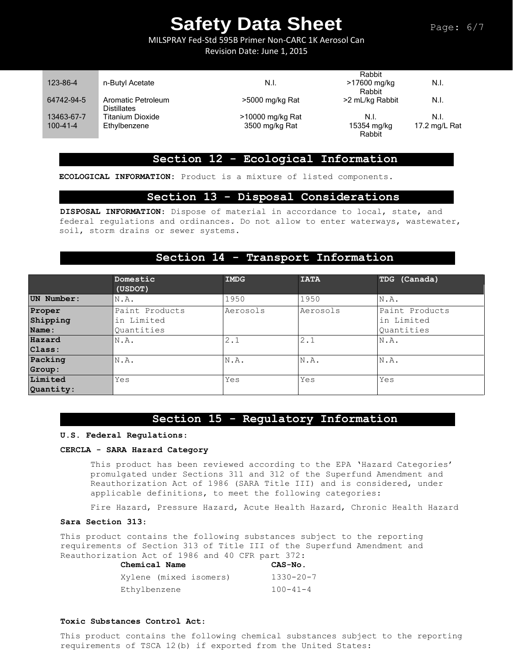Page: 6/7

MILSPRAY Fed-Std 595B Primer Non-CARC 1K Aerosol Can

Revision Date: June 1, 2015

|                |                                   |                  | Rabbit                 |               |
|----------------|-----------------------------------|------------------|------------------------|---------------|
| 123-86-4       | n-Butyl Acetate                   | N.I.             | >17600 mg/kg<br>Rabbit | N.I.          |
| 64742-94-5     | Aromatic Petroleum<br>Distillates | >5000 mg/kg Rat  | >2 mL/kg Rabbit        | N.I.          |
| 13463-67-7     | Titanium Dioxide                  | >10000 mg/kg Rat | N.I.                   | N.I.          |
| $100 - 41 - 4$ | Ethylbenzene                      | 3500 mg/kg Rat   | 15354 mg/kg<br>Rabbit  | 17.2 mg/L Rat |

# **Section 12 - Ecological Information**

**ECOLOGICAL INFORMATION:** Product is a mixture of listed components.

### **Section 13 - Disposal Considerations**

**DISPOSAL INFORMATION**: Dispose of material in accordance to local, state, and federal regulations and ordinances. Do not allow to enter waterways, wastewater, soil, storm drains or sewer systems.

## **Section 14 - Transport Information**

|            | Domestic<br>(USDOT) | <b>IMDG</b> | <b>IATA</b> | TDG (Canada)   |
|------------|---------------------|-------------|-------------|----------------|
| UN Number: | N.A.                | 1950        | 1950        | N.A.           |
| Proper     | Paint Products      | Aerosols    | Aerosols    | Paint Products |
| Shipping   | in Limited          |             |             | lin Limited    |
| Name:      | Ouantities          |             |             | Quantities     |
| Hazard     | N.A.                | 2.1         | 2.1         | N.A.           |
| Class:     |                     |             |             |                |
| Packing    | N.A.                | N.A.        | N.A.        | N.A.           |
| Group:     |                     |             |             |                |
| Limited    | Yes                 | Yes         | Yes         | Yes            |
| Quantity:  |                     |             |             |                |

# **Section 15 - Regulatory Information**

#### **U.S. Federal Regulations**:

#### **CERCLA - SARA Hazard Category**

This product has been reviewed according to the EPA 'Hazard Categories' promulgated under Sections 311 and 312 of the Superfund Amendment and Reauthorization Act of 1986 (SARA Title III) and is considered, under applicable definitions, to meet the following categories:

Fire Hazard, Pressure Hazard, Acute Health Hazard, Chronic Health Hazard

#### **Sara Section 313**:

This product contains the following substances subject to the reporting requirements of Section 313 of Title III of the Superfund Amendment and Reauthorization Act of 1986 and 40 CFR part 372:

| Chemical Name          | CAS-No.         |
|------------------------|-----------------|
| Xylene (mixed isomers) | $1330 - 20 - 7$ |
| Ethylbenzene           | $100 - 41 - 4$  |

#### **Toxic Substances Control Act**:

This product contains the following chemical substances subject to the reporting requirements of TSCA 12(b) if exported from the United States: